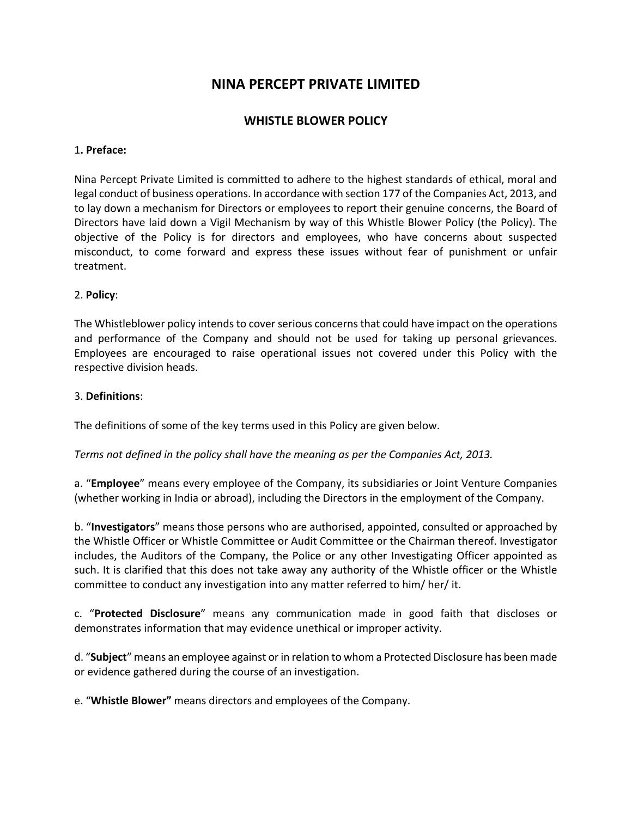# **NINA PERCEPT PRIVATE LIMITED**

## **WHISTLE BLOWER POLICY**

#### 1**. Preface:**

Nina Percept Private Limited is committed to adhere to the highest standards of ethical, moral and legal conduct of business operations. In accordance with section 177 of the Companies Act, 2013, and to lay down a mechanism for Directors or employees to report their genuine concerns, the Board of Directors have laid down a Vigil Mechanism by way of this Whistle Blower Policy (the Policy). The objective of the Policy is for directors and employees, who have concerns about suspected misconduct, to come forward and express these issues without fear of punishment or unfair treatment.

#### 2. **Policy**:

The Whistleblower policy intends to cover serious concerns that could have impact on the operations and performance of the Company and should not be used for taking up personal grievances. Employees are encouraged to raise operational issues not covered under this Policy with the respective division heads.

#### 3. **Definitions**:

The definitions of some of the key terms used in this Policy are given below.

*Terms not defined in the policy shall have the meaning as per the Companies Act, 2013.* 

a. "**Employee**" means every employee of the Company, its subsidiaries or Joint Venture Companies (whether working in India or abroad), including the Directors in the employment of the Company.

b. "**Investigators**" means those persons who are authorised, appointed, consulted or approached by the Whistle Officer or Whistle Committee or Audit Committee or the Chairman thereof. Investigator includes, the Auditors of the Company, the Police or any other Investigating Officer appointed as such. It is clarified that this does not take away any authority of the Whistle officer or the Whistle committee to conduct any investigation into any matter referred to him/ her/ it.

c. "**Protected Disclosure**" means any communication made in good faith that discloses or demonstrates information that may evidence unethical or improper activity.

d. "**Subject**" means an employee against orin relation to whom a Protected Disclosure has been made or evidence gathered during the course of an investigation.

e. "**Whistle Blower"** means directors and employees of the Company.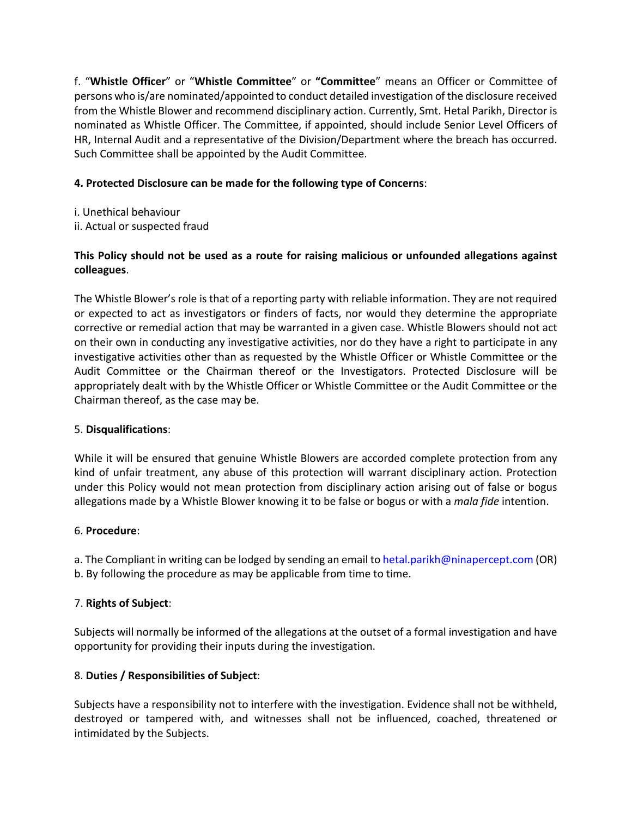f. "**Whistle Officer**" or "**Whistle Committee**" or **"Committee**" means an Officer or Committee of persons who is/are nominated/appointed to conduct detailed investigation of the disclosure received from the Whistle Blower and recommend disciplinary action. Currently, Smt. Hetal Parikh, Director is nominated as Whistle Officer. The Committee, if appointed, should include Senior Level Officers of HR, Internal Audit and a representative of the Division/Department where the breach has occurred. Such Committee shall be appointed by the Audit Committee.

# **4. Protected Disclosure can be made for the following type of Concerns**:

- i. Unethical behaviour
- ii. Actual or suspected fraud

# **This Policy should not be used as a route for raising malicious or unfounded allegations against colleagues**.

The Whistle Blower's role is that of a reporting party with reliable information. They are not required or expected to act as investigators or finders of facts, nor would they determine the appropriate corrective or remedial action that may be warranted in a given case. Whistle Blowers should not act on their own in conducting any investigative activities, nor do they have a right to participate in any investigative activities other than as requested by the Whistle Officer or Whistle Committee or the Audit Committee or the Chairman thereof or the Investigators. Protected Disclosure will be appropriately dealt with by the Whistle Officer or Whistle Committee or the Audit Committee or the Chairman thereof, as the case may be.

### 5. **Disqualifications**:

While it will be ensured that genuine Whistle Blowers are accorded complete protection from any kind of unfair treatment, any abuse of this protection will warrant disciplinary action. Protection under this Policy would not mean protection from disciplinary action arising out of false or bogus allegations made by a Whistle Blower knowing it to be false or bogus or with a *mala fide* intention.

# 6. **Procedure**:

a. The Compliant in writing can be lodged by sending an email to hetal.parikh@ninapercept.com (OR) b. By following the procedure as may be applicable from time to time.

# 7. **Rights of Subject**:

Subjects will normally be informed of the allegations at the outset of a formal investigation and have opportunity for providing their inputs during the investigation.

# 8. **Duties / Responsibilities of Subject**:

Subjects have a responsibility not to interfere with the investigation. Evidence shall not be withheld, destroyed or tampered with, and witnesses shall not be influenced, coached, threatened or intimidated by the Subjects.